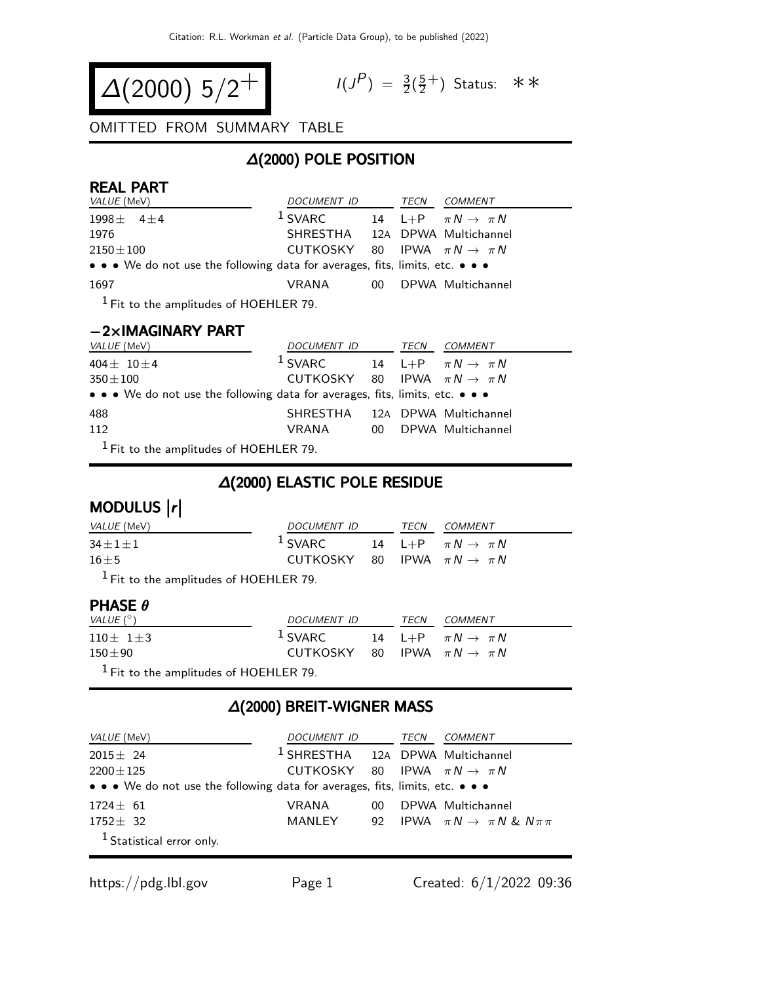$$
\Delta(2000) 5/2^+
$$

$$
I(J^P) = \frac{3}{2}(\frac{5}{2}^+) \text{ Status: } **
$$

#### OMITTED FROM SUMMARY TABLE

# ∆(2000) POLE POSITION

#### REAL PART

| <i>VALUE</i> (MeV)                                                            | DOCUMENT ID TECN COMMENT                   |  |                                  |
|-------------------------------------------------------------------------------|--------------------------------------------|--|----------------------------------|
| $1998 \pm 411$                                                                | $1$ SVARC                                  |  | 14 L+P $\pi N \rightarrow \pi N$ |
| 1976                                                                          | SHRESTHA 12A DPWA Multichannel             |  |                                  |
| $2150 \pm 100$                                                                | CUTKOSKY 80 IPWA $\pi N \rightarrow \pi N$ |  |                                  |
| • • • We do not use the following data for averages, fits, limits, etc. • • • |                                            |  |                                  |
| 1697                                                                          | VRANA                                      |  | 00 DPWA Multichannel             |
| $1$ Fit to the amplitudes of HOEHLER 79.                                      |                                            |  |                                  |

#### −2×IMAGINARY PART

| <i>VALUE</i> (MeV)                                                            | DOCUMENT ID                                | TECN | <i>COMMENT</i>                   |
|-------------------------------------------------------------------------------|--------------------------------------------|------|----------------------------------|
| $404 + 10 + 4$                                                                | $1$ SVARC                                  |      | 14 L+P $\pi N \rightarrow \pi N$ |
| $350 \pm 100$                                                                 | CUTKOSKY 80 IPWA $\pi N \rightarrow \pi N$ |      |                                  |
| • • • We do not use the following data for averages, fits, limits, etc. • • • |                                            |      |                                  |
| 488                                                                           | SHRESTHA 12A DPWA Multichannel             |      |                                  |
| 112                                                                           | VRANA                                      |      | 00 DPWA Multichannel             |
| $1$ Fit to the amplitudes of HOEHLER 79.                                      |                                            |      |                                  |

Fit to the amplitudes of HOEHLER 79.

# ∆(2000) ELASTIC POLE RESIDUE

| MODULUS $ r $    |                                            |      |                                  |
|------------------|--------------------------------------------|------|----------------------------------|
| VALUE (MeV)      | DOCUMENT ID                                | TECN | <i>COMMENT</i>                   |
| $34 \pm 1 \pm 1$ | $1$ SVARC                                  |      | 14 L+P $\pi N \rightarrow \pi N$ |
| $16 \pm 5$       | CUTKOSKY 80 IPWA $\pi N \rightarrow \pi N$ |      |                                  |
|                  |                                            |      |                                  |

 $<sup>1</sup>$  Fit to the amplitudes of HOEHLER 79.</sup>

#### PHASE θ

| VALUE $(^\circ)$                         | <i>DOCUMENT ID</i>                         | TECN | <i>COMMENT</i>                   |
|------------------------------------------|--------------------------------------------|------|----------------------------------|
| $110 \pm 11 \pm 3$                       | $^1$ SVARC                                 |      | 14 L+P $\pi N \rightarrow \pi N$ |
| $150\pm90$                               | CUTKOSKY 80 IPWA $\pi N \rightarrow \pi N$ |      |                                  |
| $1$ Fit to the amplitudes of HOEHLER 79. |                                            |      |                                  |

# ∆(2000) BREIT-WIGNER MASS

| <i>VALUE</i> (MeV)                                                            | <i>DOCUMENT ID</i>                          |    | TECN | <i>COMMENT</i>                                 |
|-------------------------------------------------------------------------------|---------------------------------------------|----|------|------------------------------------------------|
| $2015 + 24$                                                                   | <sup>1</sup> SHRESTHA 12A DPWA Multichannel |    |      |                                                |
| $2200 \pm 125$                                                                | CUTKOSKY 80 IPWA $\pi N \rightarrow \pi N$  |    |      |                                                |
| • • • We do not use the following data for averages, fits, limits, etc. • • • |                                             |    |      |                                                |
| $1724 + 61$                                                                   | VRANA                                       | 00 |      | DPWA Multichannel                              |
| $1752 + 32$                                                                   | MANLEY                                      |    |      | 92 IPWA $\pi N \rightarrow \pi N \& N \pi \pi$ |
| <sup>1</sup> Statistical error only.                                          |                                             |    |      |                                                |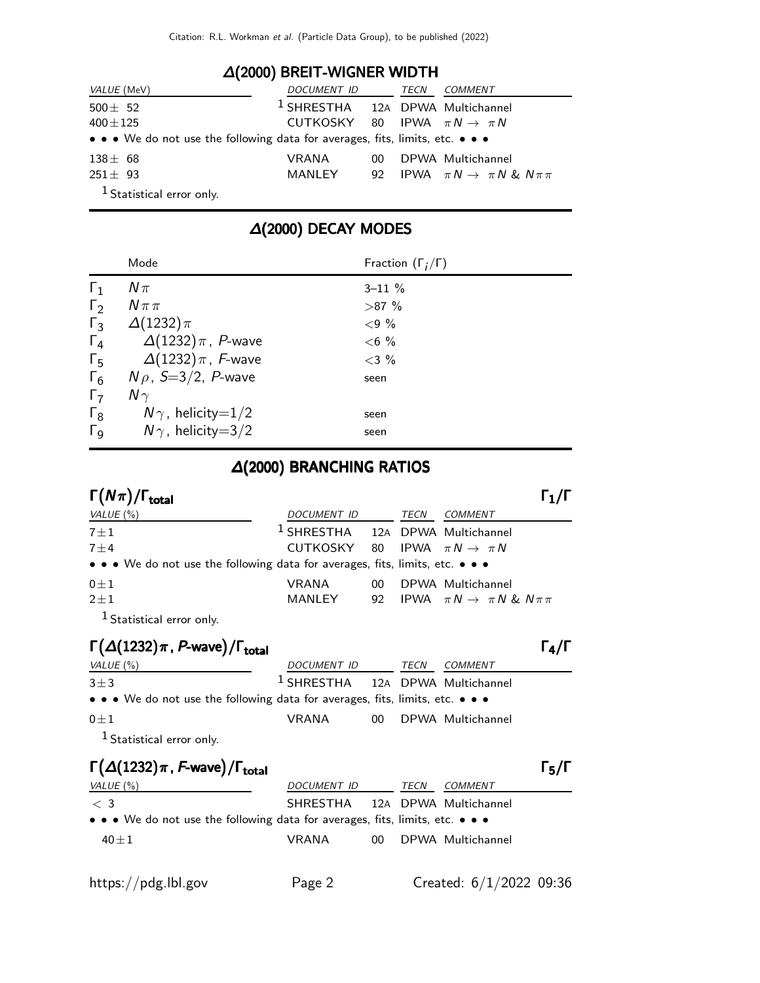#### ∆(2000) BREIT-WIGNER WIDTH

| <i>VALUE</i> (MeV)                                                            | DOCUMENT ID                                 |     | TECN | <i>COMMENT</i>                                 |
|-------------------------------------------------------------------------------|---------------------------------------------|-----|------|------------------------------------------------|
| $500 \pm 52$                                                                  | <sup>1</sup> SHRESTHA 12A DPWA Multichannel |     |      |                                                |
| $400 \pm 125$                                                                 | CUTKOSKY 80 IPWA $\pi N \rightarrow \pi N$  |     |      |                                                |
| • • • We do not use the following data for averages, fits, limits, etc. • • • |                                             |     |      |                                                |
| $138 \pm 68$                                                                  | VRANA                                       | 00. |      | DPWA Multichannel                              |
| $251 \pm 93$                                                                  | MANLEY                                      |     |      | 92 IPWA $\pi N \rightarrow \pi N \& N \pi \pi$ |
| <sup>1</sup> Statistical error only.                                          |                                             |     |      |                                                |

# ∆(2000) DECAY MODES

|                       | Mode                         | Fraction $(\Gamma_i/\Gamma)$ |
|-----------------------|------------------------------|------------------------------|
| $\Gamma_1$            | $N\pi$                       | $3 - 11 \%$                  |
| $\Gamma_2$            | $N \pi \pi$                  | $>87\%$                      |
| $\Gamma_3$            | $\Delta(1232)\pi$            | ${<}9%$                      |
| $\Gamma_4$            | $\Delta(1232)\pi$ , P-wave   | $< 6\%$                      |
| $\Gamma_{5}$          | $\Delta(1232)\,\pi$ , F-wave | $<$ 3 %                      |
| $\Gamma_6$            | $N\rho$ , S=3/2, P-wave      | seen                         |
| $\Gamma_7$            | $N\gamma$                    |                              |
| $\Gamma_8$            | $N\gamma$ , helicity=1/2     | seen                         |
| $\Gamma_{\mathsf{Q}}$ | $N\gamma$ , helicity=3/2     | seen                         |

#### ∆(2000) BRANCHING RATIOS

| $\Gamma(N\pi)/\Gamma_{\rm total}$                                                                                              |                                             |    |      |                                                |  |
|--------------------------------------------------------------------------------------------------------------------------------|---------------------------------------------|----|------|------------------------------------------------|--|
| VALUE $(\%)$                                                                                                                   | DOCUMENT ID                                 |    | TECN | <b>COMMENT</b>                                 |  |
| $7 \pm 1$                                                                                                                      | <sup>1</sup> SHRESTHA 12A DPWA Multichannel |    |      |                                                |  |
| $7 + 4$                                                                                                                        | CUTKOSKY 80 IPWA $\pi N \rightarrow \pi N$  |    |      |                                                |  |
| $\bullet \bullet \bullet \mathsf{We}$ do not use the following data for averages, fits, limits, etc. $\bullet \bullet \bullet$ |                                             |    |      |                                                |  |
| $0 \pm 1$                                                                                                                      | <b>VRANA</b>                                | 00 |      | DPWA Multichannel                              |  |
| $2 \pm 1$                                                                                                                      | MANLEY                                      |    |      | 92 IPWA $\pi N \rightarrow \pi N \& N \pi \pi$ |  |
|                                                                                                                                |                                             |    |      |                                                |  |

Statistical error only.

#### $\Gamma(\Delta(1232)\pi$  , P-wave) / $\Gamma_{\text{total}}$  (π total and the contract of the contract of the contract of the contract of the contract of the contract of the c

| VALUE (%)                                                                     | <i>DOCUMENT ID</i>                          | TECN | <i>COMMENT</i>       |
|-------------------------------------------------------------------------------|---------------------------------------------|------|----------------------|
| $3+3$                                                                         | <sup>1</sup> SHRESTHA 12A DPWA Multichannel |      |                      |
| • • • We do not use the following data for averages, fits, limits, etc. • • • |                                             |      |                      |
| $0 + 1$                                                                       | VRANA                                       |      | 00 DPWA Multichannel |
| $\mathbf{1}_{\mathbf{C}}$ , $\mathbf{1}_{\mathbf{C}}$                         |                                             |      |                      |

Statistical error only.

#### Γ $(\Delta(1232)\pi$ , F-wave)/Γ<sub>total</sub> Γ<sub>5</sub>/Γ

| VALUE (%)                                                                     | DOCUMENT ID                    | TECN | COMMENT              |
|-------------------------------------------------------------------------------|--------------------------------|------|----------------------|
| $\langle 3 \rangle$                                                           | SHRESTHA 12A DPWA Multichannel |      |                      |
| • • • We do not use the following data for averages, fits, limits, etc. • • • |                                |      |                      |
| $40 + 1$                                                                      | <b>VRANA</b>                   |      | 00 DPWA Multichannel |